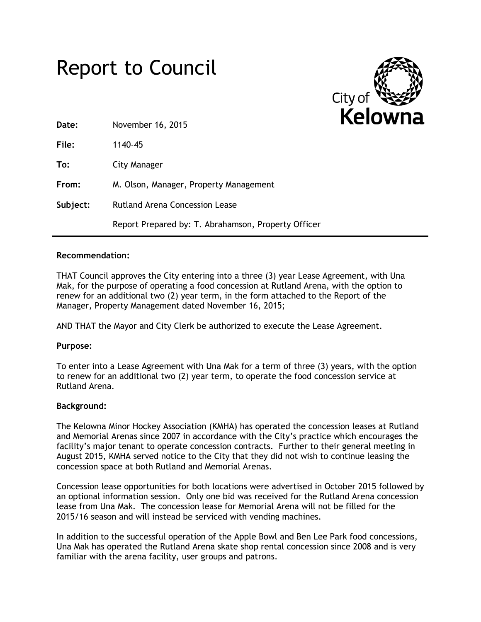



| Date:    | November 16, 2015                                   |
|----------|-----------------------------------------------------|
| File:    | 1140-45                                             |
| To:      | City Manager                                        |
| From:    | M. Olson, Manager, Property Management              |
| Subject: | Rutland Arena Concession Lease                      |
|          | Report Prepared by: T. Abrahamson, Property Officer |

#### **Recommendation:**

THAT Council approves the City entering into a three (3) year Lease Agreement, with Una Mak, for the purpose of operating a food concession at Rutland Arena, with the option to renew for an additional two (2) year term, in the form attached to the Report of the Manager, Property Management dated November 16, 2015;

AND THAT the Mayor and City Clerk be authorized to execute the Lease Agreement.

## **Purpose:**

To enter into a Lease Agreement with Una Mak for a term of three (3) years, with the option to renew for an additional two (2) year term, to operate the food concession service at Rutland Arena.

#### **Background:**

The Kelowna Minor Hockey Association (KMHA) has operated the concession leases at Rutland and Memorial Arenas since 2007 in accordance with the City's practice which encourages the facility's major tenant to operate concession contracts. Further to their general meeting in August 2015, KMHA served notice to the City that they did not wish to continue leasing the concession space at both Rutland and Memorial Arenas.

Concession lease opportunities for both locations were advertised in October 2015 followed by an optional information session. Only one bid was received for the Rutland Arena concession lease from Una Mak. The concession lease for Memorial Arena will not be filled for the 2015/16 season and will instead be serviced with vending machines.

In addition to the successful operation of the Apple Bowl and Ben Lee Park food concessions, Una Mak has operated the Rutland Arena skate shop rental concession since 2008 and is very familiar with the arena facility, user groups and patrons.